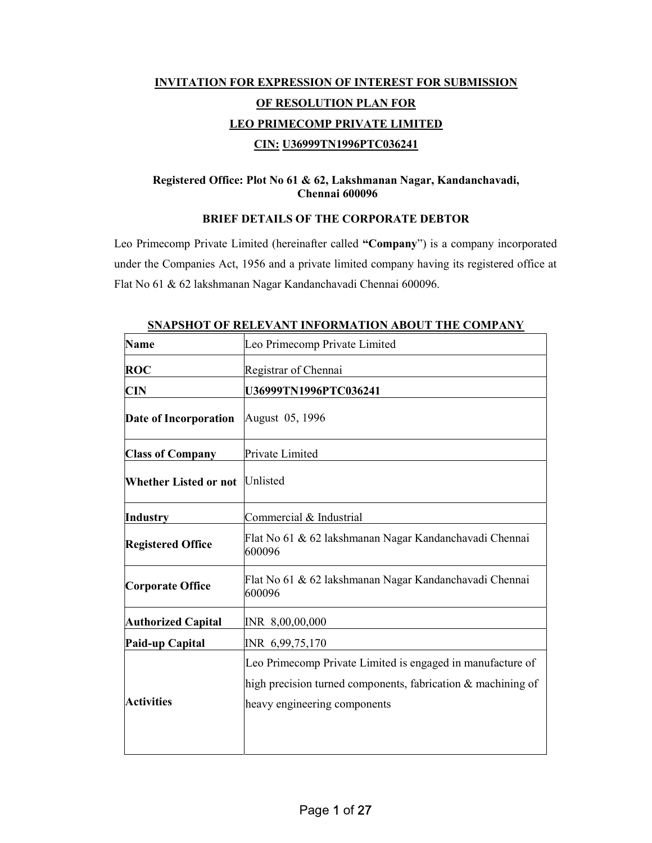# INVITATION FOR EXPRESSION OF INTEREST FOR SUBMISSION OF RESOLUTION PLAN FOR LEO PRIMECOMP PRIVATE LIMITED CIN: U36999TN1996PTC036241

### Registered Office: Plot No 61 & 62, Lakshmanan Nagar, Kandanchavadi, Chennai 600096

### BRIEF DETAILS OF THE CORPORATE DEBTOR

Leo Primecomp Private Limited (hereinafter called "Company") is a company incorporated under the Companies Act, 1956 and a private limited company having its registered office at Flat No 61 & 62 lakshmanan Nagar Kandanchavadi Chennai 600096.

| <b>Name</b>                  | Leo Primecomp Private Limited                                    |
|------------------------------|------------------------------------------------------------------|
| <b>ROC</b>                   | Registrar of Chennai                                             |
| <b>CIN</b>                   | U36999TN1996PTC036241                                            |
| Date of Incorporation        | August 05, 1996                                                  |
| <b>Class of Company</b>      | Private Limited                                                  |
| <b>Whether Listed or not</b> | Unlisted                                                         |
| Industry                     | Commercial & Industrial                                          |
| <b>Registered Office</b>     | Flat No 61 & 62 lakshmanan Nagar Kandanchavadi Chennai<br>600096 |
| <b>Corporate Office</b>      | Flat No 61 & 62 lakshmanan Nagar Kandanchavadi Chennai<br>600096 |
| <b>Authorized Capital</b>    | INR 8,00,00,000                                                  |
| Paid-up Capital              | INR 6,99,75,170                                                  |
|                              | Leo Primecomp Private Limited is engaged in manufacture of       |
|                              | high precision turned components, fabrication & machining of     |
| <b>Activities</b>            | heavy engineering components                                     |
|                              |                                                                  |

SNAPSHOT OF RELEVANT INFORMATION ABOUT THE COMPANY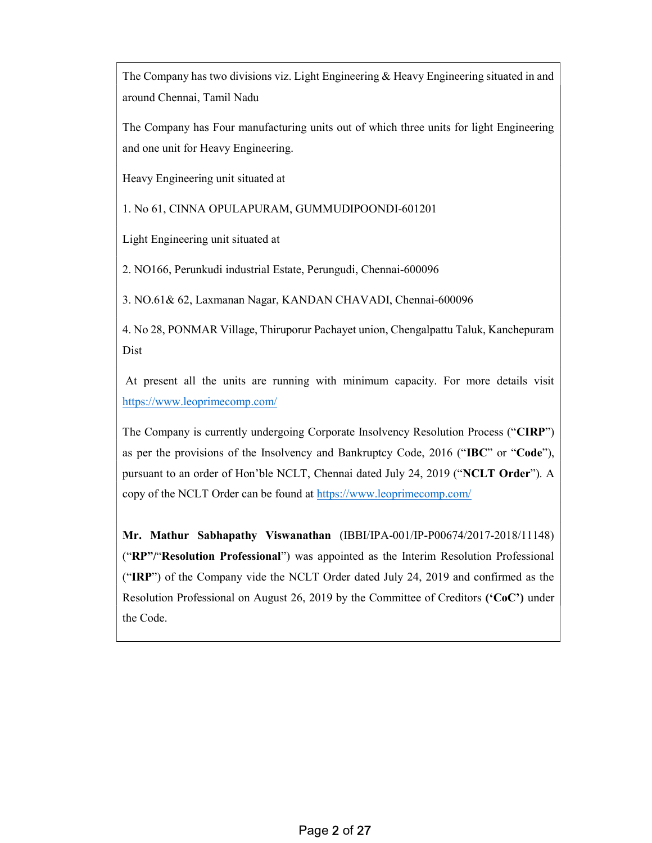The Company has two divisions viz. Light Engineering  $\&$  Heavy Engineering situated in and around Chennai, Tamil Nadu

The Company has Four manufacturing units out of which three units for light Engineering and one unit for Heavy Engineering.

Heavy Engineering unit situated at

1. No 61, CINNA OPULAPURAM, GUMMUDIPOONDI-601201

Light Engineering unit situated at

2. NO166, Perunkudi industrial Estate, Perungudi, Chennai-600096

3. NO.61& 62, Laxmanan Nagar, KANDAN CHAVADI, Chennai-600096

4. No 28, PONMAR Village, Thiruporur Pachayet union, Chengalpattu Taluk, Kanchepuram Dist

 At present all the units are running with minimum capacity. For more details visit https://www.leoprimecomp.com/

The Company is currently undergoing Corporate Insolvency Resolution Process ("CIRP") as per the provisions of the Insolvency and Bankruptcy Code, 2016 ("IBC" or "Code"), pursuant to an order of Hon'ble NCLT, Chennai dated July 24, 2019 ("NCLT Order"). A copy of the NCLT Order can be found at https://www.leoprimecomp.com/

Mr. Mathur Sabhapathy Viswanathan (IBBI/IPA-001/IP-P00674/2017-2018/11148) ("RP"/"Resolution Professional") was appointed as the Interim Resolution Professional ("IRP") of the Company vide the NCLT Order dated July 24, 2019 and confirmed as the Resolution Professional on August 26, 2019 by the Committee of Creditors ('CoC') under the Code.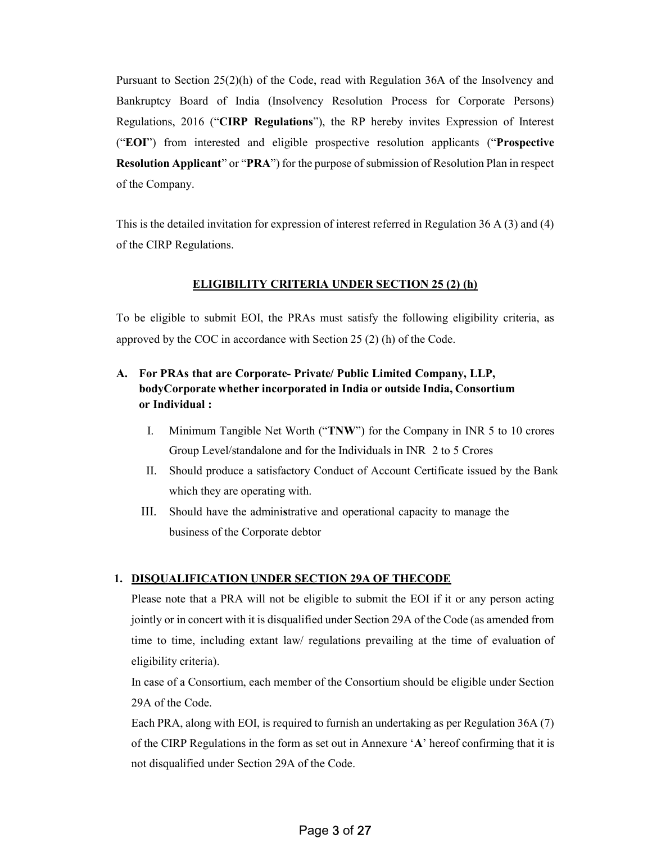Pursuant to Section 25(2)(h) of the Code, read with Regulation 36A of the Insolvency and Bankruptcy Board of India (Insolvency Resolution Process for Corporate Persons) Regulations, 2016 ("CIRP Regulations"), the RP hereby invites Expression of Interest ("EOI") from interested and eligible prospective resolution applicants ("Prospective Resolution Applicant" or "PRA") for the purpose of submission of Resolution Plan in respect of the Company.

This is the detailed invitation for expression of interest referred in Regulation 36 A (3) and (4) of the CIRP Regulations.

### ELIGIBILITY CRITERIA UNDER SECTION 25 (2) (h)

To be eligible to submit EOI, the PRAs must satisfy the following eligibility criteria, as approved by the COC in accordance with Section 25 (2) (h) of the Code.

## A. For PRAs that are Corporate- Private/ Public Limited Company, LLP, body Corporate whether incorporated in India or outside India, Consortium or Individual :

- I. Minimum Tangible Net Worth ("TNW") for the Company in INR 5 to 10 crores Group Level/standalone and for the Individuals in INR 2 to 5 Crores
- II. Should produce a satisfactory Conduct of Account Certificate issued by the Bank which they are operating with.
- III. Should have the administrative and operational capacity to manage the business of the Corporate debtor

### 1. DISQUALIFICATION UNDER SECTION 29A OF THECODE

Please note that a PRA will not be eligible to submit the EOI if it or any person acting jointly or in concert with it is disqualified under Section 29A of the Code (as amended from time to time, including extant law/ regulations prevailing at the time of evaluation of eligibility criteria).

In case of a Consortium, each member of the Consortium should be eligible under Section 29A of the Code.

Each PRA, along with EOI, is required to furnish an undertaking as per Regulation 36A (7) of the CIRP Regulations in the form as set out in Annexure 'A' hereof confirming that it is not disqualified under Section 29A of the Code.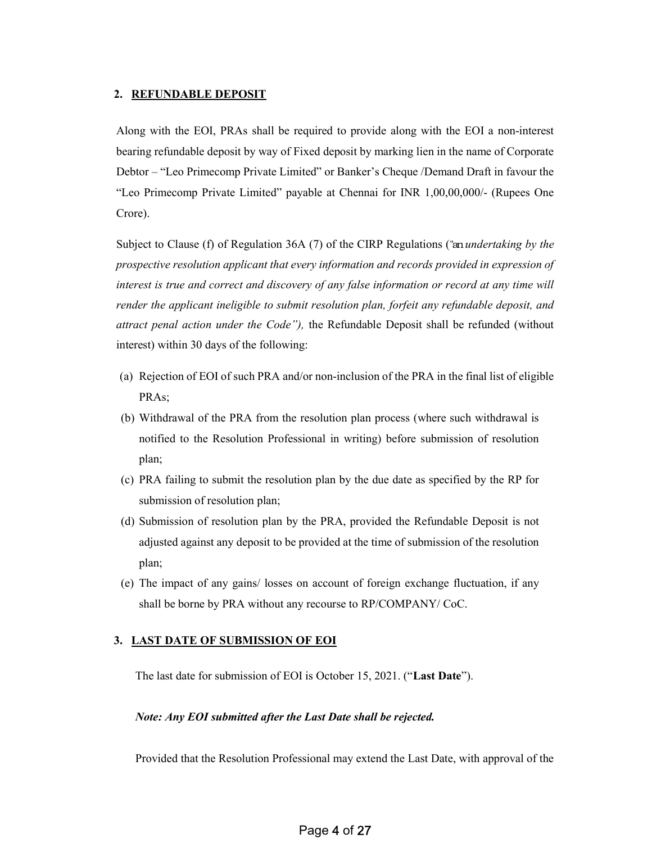#### 2. REFUNDABLE DEPOSIT

Along with the EOI, PRAs shall be required to provide along with the EOI a non-interest bearing refundable deposit by way of Fixed deposit by marking lien in the name of Corporate Debtor – "Leo Primecomp Private Limited" or Banker's Cheque /Demand Draft in favour the "Leo Primecomp Private Limited" payable at Chennai for INR 1,00,00,000/- (Rupees One Crore).

Subject to Clause (f) of Regulation 36A (7) of the CIRP Regulations ("an undertaking by the prospective resolution applicant that every information and records provided in expression of interest is true and correct and discovery of any false information or record at any time will render the applicant ineligible to submit resolution plan, forfeit any refundable deposit, and attract penal action under the Code"), the Refundable Deposit shall be refunded (without interest) within 30 days of the following:

- (a) Rejection of EOI of such PRA and/or non-inclusion of the PRA in the final list of eligible PRAs;
- (b) Withdrawal of the PRA from the resolution plan process (where such withdrawal is notified to the Resolution Professional in writing) before submission of resolution plan;
- (c) PRA failing to submit the resolution plan by the due date as specified by the RP for submission of resolution plan;
- (d) Submission of resolution plan by the PRA, provided the Refundable Deposit is not adjusted against any deposit to be provided at the time of submission of the resolution plan;
- (e) The impact of any gains/ losses on account of foreign exchange fluctuation, if any shall be borne by PRA without any recourse to RP/COMPANY/ CoC.

### 3. LAST DATE OF SUBMISSION OF EOI

The last date for submission of EOI is October 15, 2021. ("Last Date").

### Note: Any EOI submitted after the Last Date shall be rejected.

Provided that the Resolution Professional may extend the Last Date, with approval of the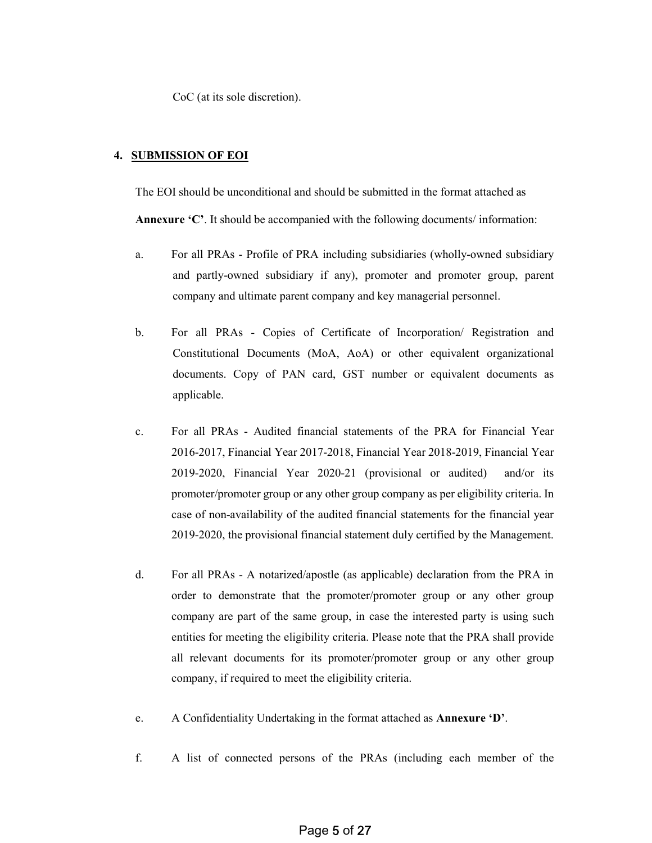CoC (at its sole discretion).

#### 4. SUBMISSION OF EOI

The EOI should be unconditional and should be submitted in the format attached as Annexure 'C'. It should be accompanied with the following documents/ information:

- a. For all PRAs Profile of PRA including subsidiaries (wholly-owned subsidiary and partly-owned subsidiary if any), promoter and promoter group, parent company and ultimate parent company and key managerial personnel.
- b. For all PRAs Copies of Certificate of Incorporation/ Registration and Constitutional Documents (MoA, AoA) or other equivalent organizational documents. Copy of PAN card, GST number or equivalent documents as applicable.
- c. For all PRAs Audited financial statements of the PRA for Financial Year 2016-2017, Financial Year 2017-2018, Financial Year 2018-2019, Financial Year 2019-2020, Financial Year 2020-21 (provisional or audited) and/or its promoter/promoter group or any other group company as per eligibility criteria. In case of non-availability of the audited financial statements for the financial year 2019-2020, the provisional financial statement duly certified by the Management.
- d. For all PRAs A notarized/apostle (as applicable) declaration from the PRA in order to demonstrate that the promoter/promoter group or any other group company are part of the same group, in case the interested party is using such entities for meeting the eligibility criteria. Please note that the PRA shall provide all relevant documents for its promoter/promoter group or any other group company, if required to meet the eligibility criteria.
- e. A Confidentiality Undertaking in the format attached as Annexure 'D'.
- f. A list of connected persons of the PRAs (including each member of the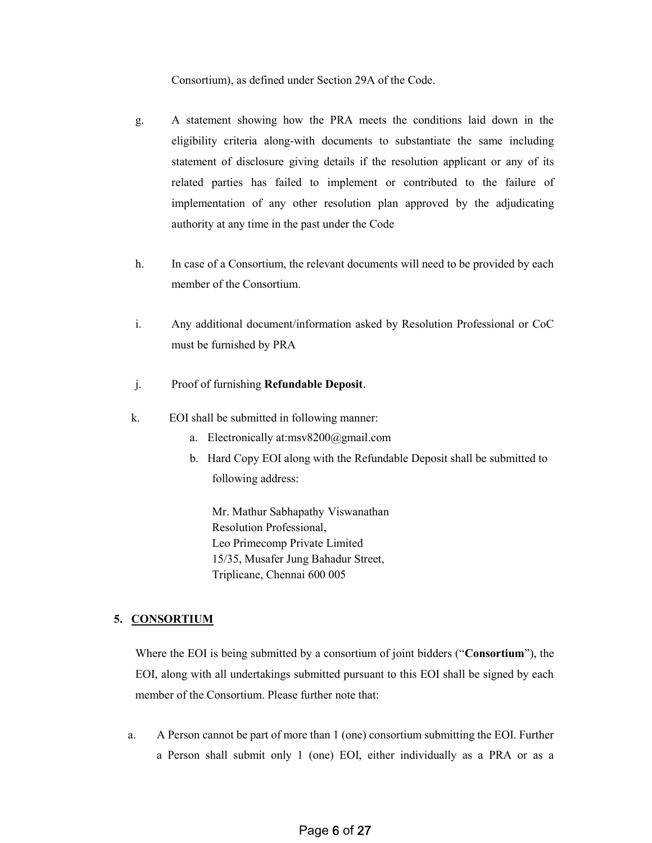#### Consortium), as defined under Section 29A of the Code.

- g. A statement showing how the PRA meets the conditions laid down in the eligibility criteria along-with documents to substantiate the same including statement of disclosure giving details if the resolution applicant or any of its related parties has failed to implement or contributed to the failure of implementation of any other resolution plan approved by the adjudicating authority at any time in the past under the Code
- h. In case of a Consortium, the relevant documents will need to be provided by each member of the Consortium.
- i. Any additional document/information asked by Resolution Professional or CoC must be furnished by PRA
- j. Proof of furnishing Refundable Deposit.
- k. EOI shall be submitted in following manner:
	- a. Electronically at:msv8200@gmail.com
	- b. Hard Copy EOI along with the Refundable Deposit shall be submitted to following address:

Mr. Mathur Sabhapathy Viswanathan Resolution Professional, Leo Primecomp Private Limited 15/35, Musafer Jung Bahadur Street, Triplicane, Chennai 600 005

### 5. CONSORTIUM

Where the EOI is being submitted by a consortium of joint bidders ("Consortium"), the EOI, along with all undertakings submitted pursuant to this EOI shall be signed by each member of the Consortium. Please further note that:

a. A Person cannot be part of more than 1 (one) consortium submitting the EOI. Further a Person shall submit only 1 (one) EOI, either individually as a PRA or as a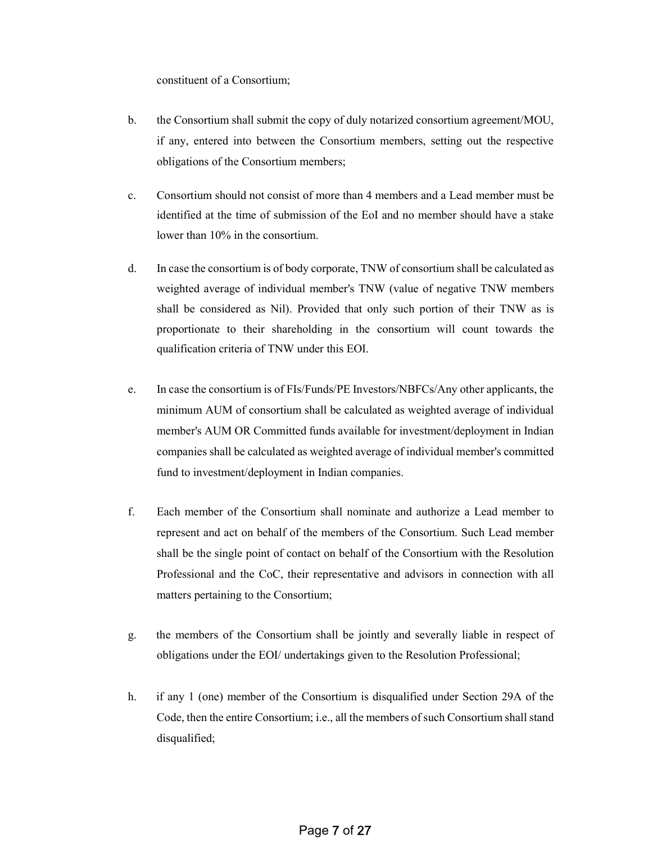constituent of a Consortium;

- b. the Consortium shall submit the copy of duly notarized consortium agreement/MOU, if any, entered into between the Consortium members, setting out the respective obligations of the Consortium members;
- c. Consortium should not consist of more than 4 members and a Lead member must be identified at the time of submission of the EoI and no member should have a stake lower than 10% in the consortium.
- d. In case the consortium is of body corporate, TNW of consortium shall be calculated as weighted average of individual member's TNW (value of negative TNW members shall be considered as Nil). Provided that only such portion of their TNW as is proportionate to their shareholding in the consortium will count towards the qualification criteria of TNW under this EOI.
- e. In case the consortium is of FIs/Funds/PE Investors/NBFCs/Any other applicants, the minimum AUM of consortium shall be calculated as weighted average of individual member's AUM OR Committed funds available for investment/deployment in Indian companies shall be calculated as weighted average of individual member's committed fund to investment/deployment in Indian companies.
- f. Each member of the Consortium shall nominate and authorize a Lead member to represent and act on behalf of the members of the Consortium. Such Lead member shall be the single point of contact on behalf of the Consortium with the Resolution Professional and the CoC, their representative and advisors in connection with all matters pertaining to the Consortium;
- g. the members of the Consortium shall be jointly and severally liable in respect of obligations under the EOI/ undertakings given to the Resolution Professional;
- h. if any 1 (one) member of the Consortium is disqualified under Section 29A of the Code, then the entire Consortium; i.e., all the members of such Consortium shall stand disqualified;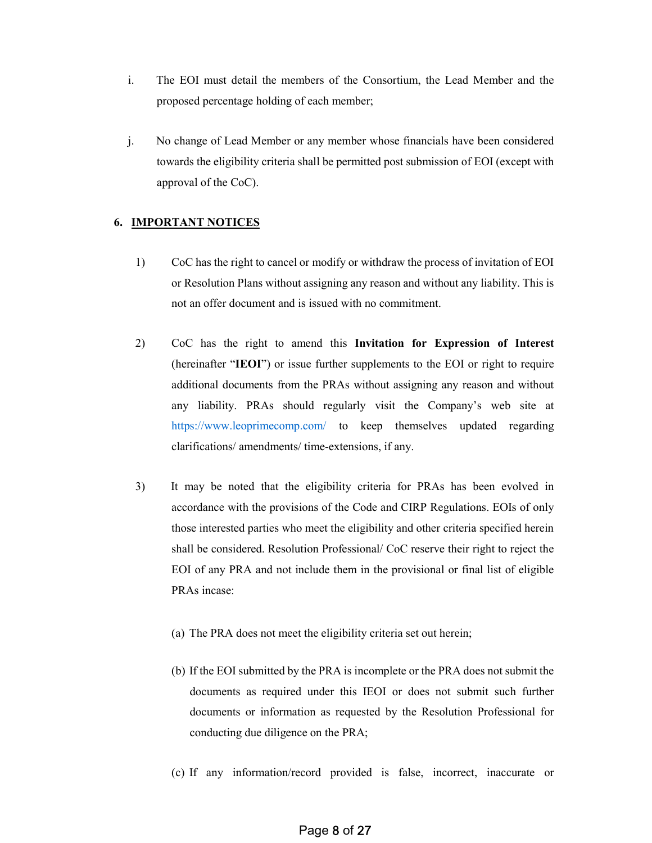- i. The EOI must detail the members of the Consortium, the Lead Member and the proposed percentage holding of each member;
- j. No change of Lead Member or any member whose financials have been considered towards the eligibility criteria shall be permitted post submission of EOI (except with approval of the CoC).

### 6. IMPORTANT NOTICES

- 1) CoC has the right to cancel or modify or withdraw the process of invitation of EOI or Resolution Plans without assigning any reason and without any liability. This is not an offer document and is issued with no commitment.
- 2) CoC has the right to amend this Invitation for Expression of Interest (hereinafter "IEOI") or issue further supplements to the EOI or right to require additional documents from the PRAs without assigning any reason and without any liability. PRAs should regularly visit the Company's web site at https://www.leoprimecomp.com/ to keep themselves updated regarding clarifications/ amendments/ time-extensions, if any.
- 3) It may be noted that the eligibility criteria for PRAs has been evolved in accordance with the provisions of the Code and CIRP Regulations. EOIs of only those interested parties who meet the eligibility and other criteria specified herein shall be considered. Resolution Professional/ CoC reserve their right to reject the EOI of any PRA and not include them in the provisional or final list of eligible PRAs incase:
	- (a) The PRA does not meet the eligibility criteria set out herein;
	- (b) If the EOI submitted by the PRA is incomplete or the PRA does not submit the documents as required under this IEOI or does not submit such further documents or information as requested by the Resolution Professional for conducting due diligence on the PRA;
	- (c) If any information/record provided is false, incorrect, inaccurate or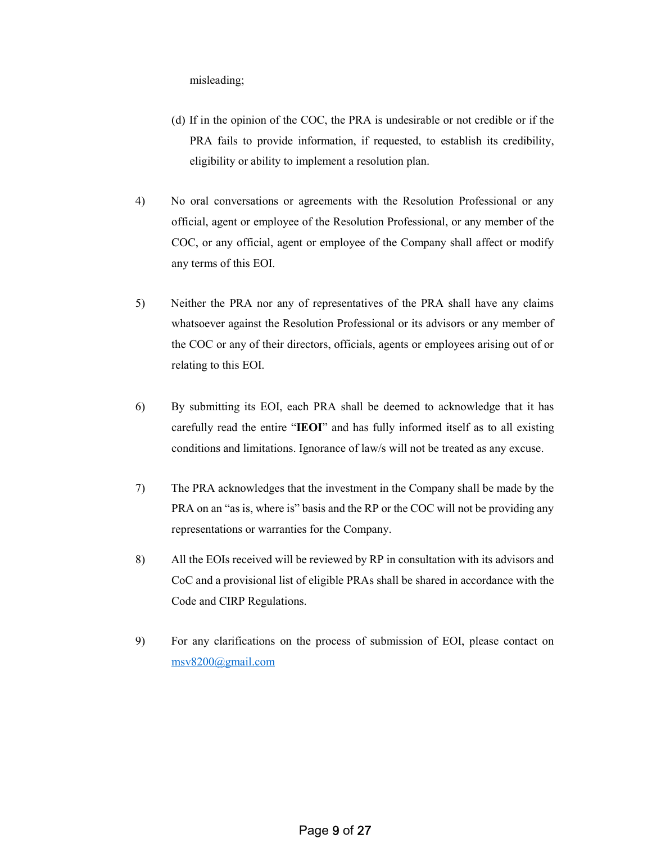misleading;

- (d) If in the opinion of the COC, the PRA is undesirable or not credible or if the PRA fails to provide information, if requested, to establish its credibility, eligibility or ability to implement a resolution plan.
- 4) No oral conversations or agreements with the Resolution Professional or any official, agent or employee of the Resolution Professional, or any member of the COC, or any official, agent or employee of the Company shall affect or modify any terms of this EOI.
- 5) Neither the PRA nor any of representatives of the PRA shall have any claims whatsoever against the Resolution Professional or its advisors or any member of the COC or any of their directors, officials, agents or employees arising out of or relating to this EOI.
- 6) By submitting its EOI, each PRA shall be deemed to acknowledge that it has carefully read the entire "IEOI" and has fully informed itself as to all existing conditions and limitations. Ignorance of law/s will not be treated as any excuse.
- 7) The PRA acknowledges that the investment in the Company shall be made by the PRA on an "as is, where is" basis and the RP or the COC will not be providing any representations or warranties for the Company.
- 8) All the EOIs received will be reviewed by RP in consultation with its advisors and CoC and a provisional list of eligible PRAs shall be shared in accordance with the Code and CIRP Regulations.
- 9) For any clarifications on the process of submission of EOI, please contact on msv8200@gmail.com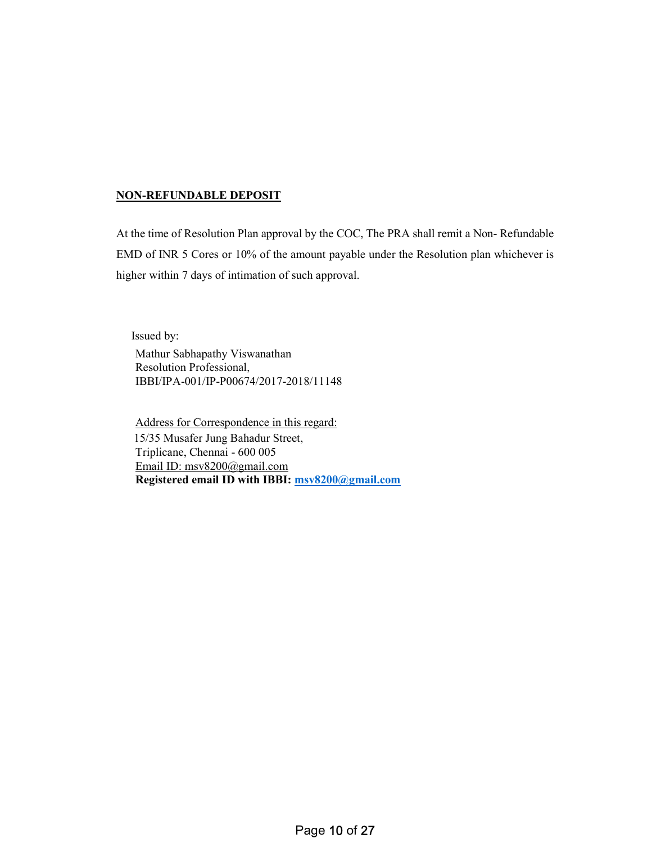### NON-REFUNDABLE DEPOSIT

At the time of Resolution Plan approval by the COC, The PRA shall remit a Non- Refundable EMD of INR 5 Cores or 10% of the amount payable under the Resolution plan whichever is higher within 7 days of intimation of such approval.

Issued by:

Mathur Sabhapathy Viswanathan Resolution Professional, IBBI/IPA-001/IP-P00674/2017-2018/11148

Address for Correspondence in this regard: 15/35 Musafer Jung Bahadur Street, Triplicane, Chennai - 600 005 Email ID: msv8200@gmail.com Registered email ID with IBBI: msv8200@gmail.com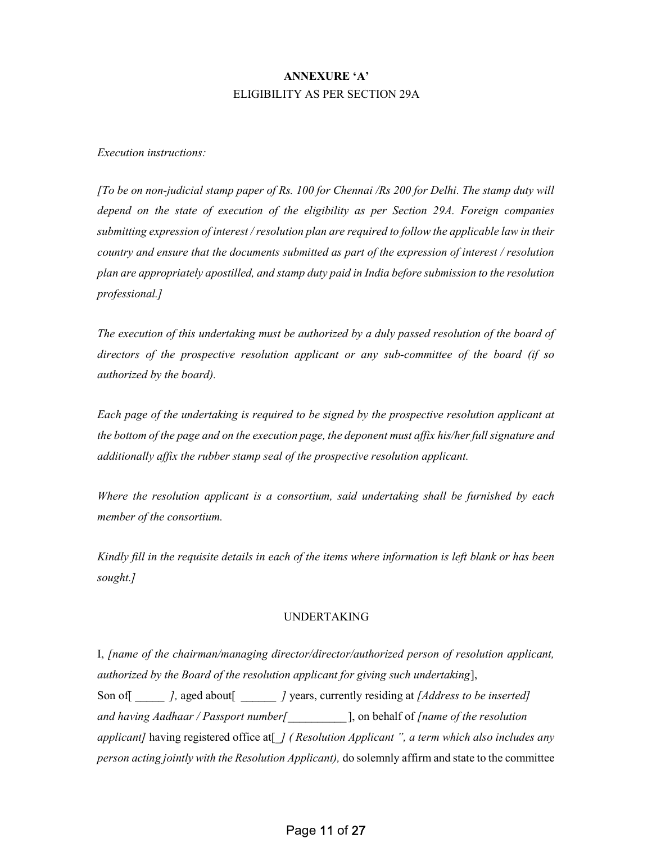## ANNEXURE 'A' ELIGIBILITY AS PER SECTION 29A

Execution instructions:

 $\int$ To be on non-judicial stamp paper of Rs. 100 for Chennai  $\int$ Rs 200 for Delhi. The stamp duty will depend on the state of execution of the eligibility as per Section 29A. Foreign companies submitting expression of interest / resolution plan are required to follow the applicable law in their country and ensure that the documents submitted as part of the expression of interest / resolution plan are appropriately apostilled, and stamp duty paid in India before submission to the resolution professional.]

The execution of this undertaking must be authorized by a duly passed resolution of the board of directors of the prospective resolution applicant or any sub-committee of the board (if so authorized by the board).

Each page of the undertaking is required to be signed by the prospective resolution applicant at the bottom of the page and on the execution page, the deponent must affix his/her full signature and additionally affix the rubber stamp seal of the prospective resolution applicant.

Where the resolution applicant is a consortium, said undertaking shall be furnished by each member of the consortium.

Kindly fill in the requisite details in each of the items where information is left blank or has been sought.]

### UNDERTAKING

I, [name of the chairman/managing director/director/authorized person of resolution applicant, authorized by the Board of the resolution applicant for giving such undertaking], Son of  $\begin{bmatrix} 1 & 0 \end{bmatrix}$ , aged about  $\begin{bmatrix} 1 & 0 \end{bmatrix}$  years, currently residing at [Address to be inserted] and having Aadhaar / Passport number  $\int$ , on behalf of *[name of the resolution*] applicant] having registered office at  $\int$  (Resolution Applicant ", a term which also includes any person acting jointly with the Resolution Applicant), do solemnly affirm and state to the committee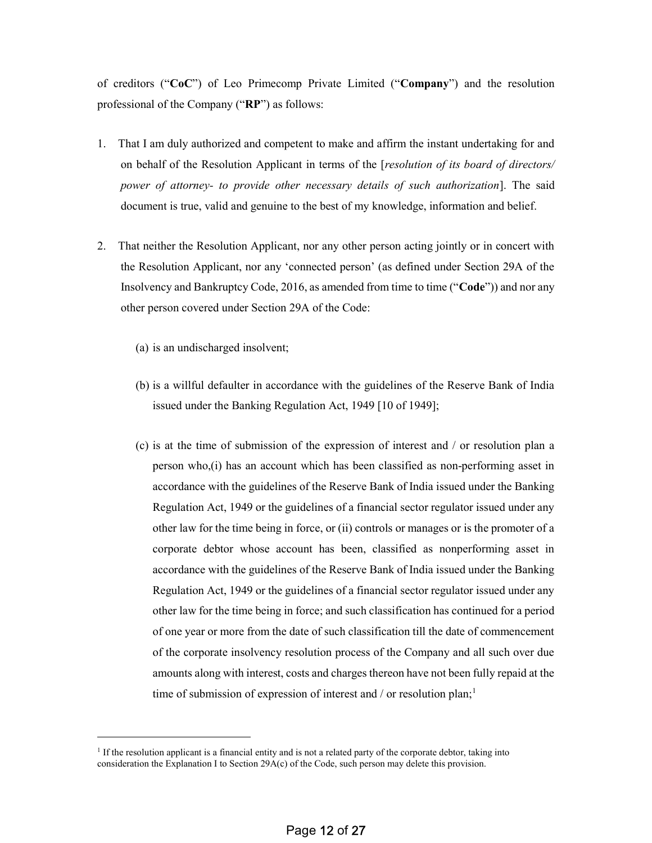of creditors ("CoC") of Leo Primecomp Private Limited ("Company") and the resolution professional of the Company ("RP") as follows:

- 1. That I am duly authorized and competent to make and affirm the instant undertaking for and on behalf of the Resolution Applicant in terms of the [resolution of its board of directors/ power of attorney- to provide other necessary details of such authorization]. The said document is true, valid and genuine to the best of my knowledge, information and belief.
- 2. That neither the Resolution Applicant, nor any other person acting jointly or in concert with the Resolution Applicant, nor any 'connected person' (as defined under Section 29A of the Insolvency and Bankruptcy Code, 2016, as amended from time to time ("Code")) and nor any other person covered under Section 29A of the Code:
	- (a) is an undischarged insolvent;

-

- (b) is a willful defaulter in accordance with the guidelines of the Reserve Bank of India issued under the Banking Regulation Act, 1949 [10 of 1949];
- (c) is at the time of submission of the expression of interest and / or resolution plan a person who,(i) has an account which has been classified as non-performing asset in accordance with the guidelines of the Reserve Bank of India issued under the Banking Regulation Act, 1949 or the guidelines of a financial sector regulator issued under any other law for the time being in force, or (ii) controls or manages or is the promoter of a corporate debtor whose account has been, classified as nonperforming asset in accordance with the guidelines of the Reserve Bank of India issued under the Banking Regulation Act, 1949 or the guidelines of a financial sector regulator issued under any other law for the time being in force; and such classification has continued for a period of one year or more from the date of such classification till the date of commencement of the corporate insolvency resolution process of the Company and all such over due amounts along with interest, costs and charges thereon have not been fully repaid at the time of submission of expression of interest and  $/$  or resolution plan;<sup>1</sup>

<sup>&</sup>lt;sup>1</sup> If the resolution applicant is a financial entity and is not a related party of the corporate debtor, taking into consideration the Explanation I to Section 29A(c) of the Code, such person may delete this provision.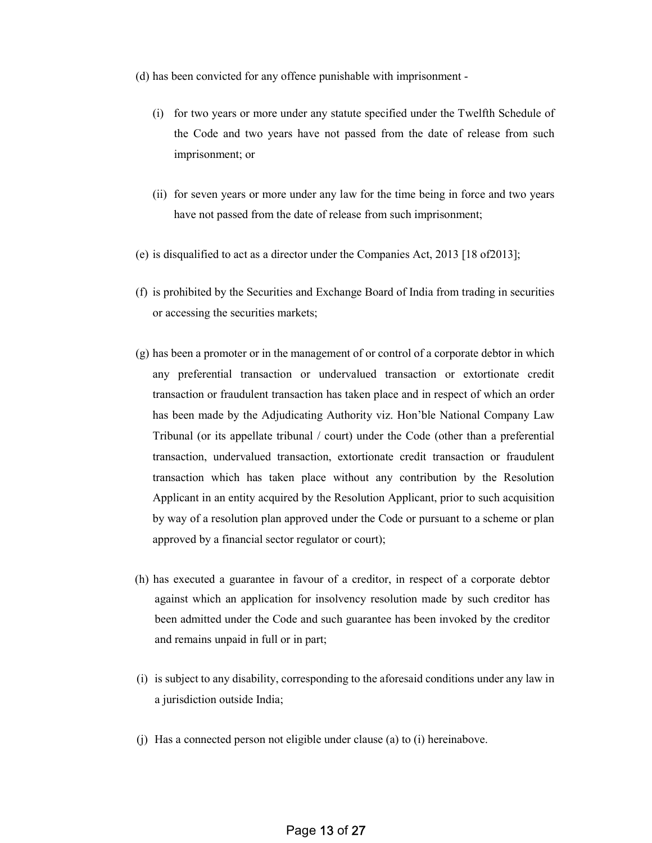(d) has been convicted for any offence punishable with imprisonment -

- (i) for two years or more under any statute specified under the Twelfth Schedule of the Code and two years have not passed from the date of release from such imprisonment; or
- (ii) for seven years or more under any law for the time being in force and two years have not passed from the date of release from such imprisonment;
- (e) is disqualified to act as a director under the Companies Act, 2013 [18 of2013];
- (f) is prohibited by the Securities and Exchange Board of India from trading in securities or accessing the securities markets;
- (g) has been a promoter or in the management of or control of a corporate debtor in which any preferential transaction or undervalued transaction or extortionate credit transaction or fraudulent transaction has taken place and in respect of which an order has been made by the Adjudicating Authority viz. Hon'ble National Company Law Tribunal (or its appellate tribunal / court) under the Code (other than a preferential transaction, undervalued transaction, extortionate credit transaction or fraudulent transaction which has taken place without any contribution by the Resolution Applicant in an entity acquired by the Resolution Applicant, prior to such acquisition by way of a resolution plan approved under the Code or pursuant to a scheme or plan approved by a financial sector regulator or court);
- (h) has executed a guarantee in favour of a creditor, in respect of a corporate debtor against which an application for insolvency resolution made by such creditor has been admitted under the Code and such guarantee has been invoked by the creditor and remains unpaid in full or in part;
- (i) is subject to any disability, corresponding to the aforesaid conditions under any law in a jurisdiction outside India;
- (j) Has a connected person not eligible under clause (a) to (i) hereinabove.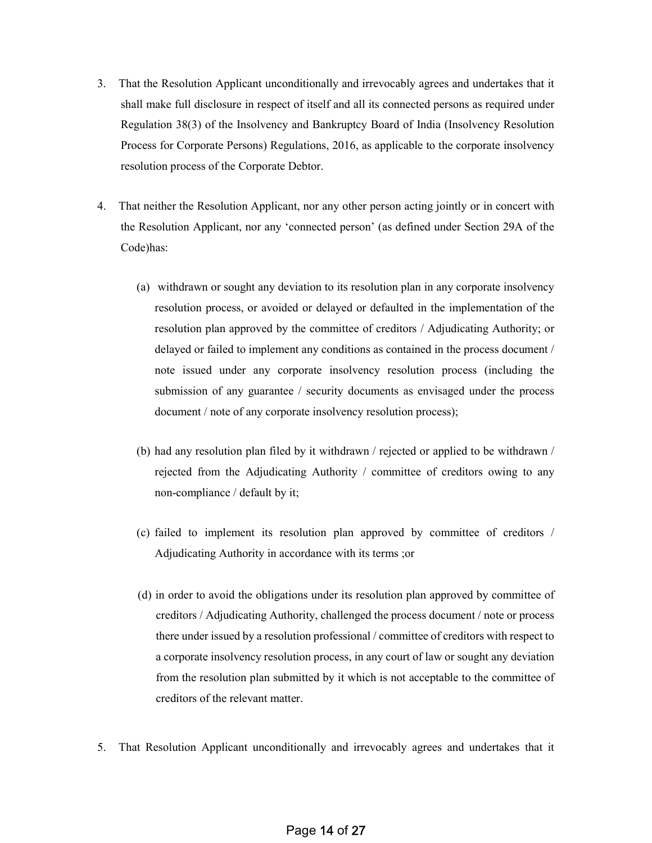- 3. That the Resolution Applicant unconditionally and irrevocably agrees and undertakes that it shall make full disclosure in respect of itself and all its connected persons as required under Regulation 38(3) of the Insolvency and Bankruptcy Board of India (Insolvency Resolution Process for Corporate Persons) Regulations, 2016, as applicable to the corporate insolvency resolution process of the Corporate Debtor.
- 4. That neither the Resolution Applicant, nor any other person acting jointly or in concert with the Resolution Applicant, nor any 'connected person' (as defined under Section 29A of the Code)has:
	- (a) withdrawn or sought any deviation to its resolution plan in any corporate insolvency resolution process, or avoided or delayed or defaulted in the implementation of the resolution plan approved by the committee of creditors / Adjudicating Authority; or delayed or failed to implement any conditions as contained in the process document / note issued under any corporate insolvency resolution process (including the submission of any guarantee / security documents as envisaged under the process document / note of any corporate insolvency resolution process);
	- (b) had any resolution plan filed by it withdrawn / rejected or applied to be withdrawn / rejected from the Adjudicating Authority / committee of creditors owing to any non-compliance / default by it;
	- (c) failed to implement its resolution plan approved by committee of creditors / Adjudicating Authority in accordance with its terms ;or
	- (d) in order to avoid the obligations under its resolution plan approved by committee of creditors / Adjudicating Authority, challenged the process document / note or process there under issued by a resolution professional / committee of creditors with respect to a corporate insolvency resolution process, in any court of law or sought any deviation from the resolution plan submitted by it which is not acceptable to the committee of creditors of the relevant matter.
- 5. That Resolution Applicant unconditionally and irrevocably agrees and undertakes that it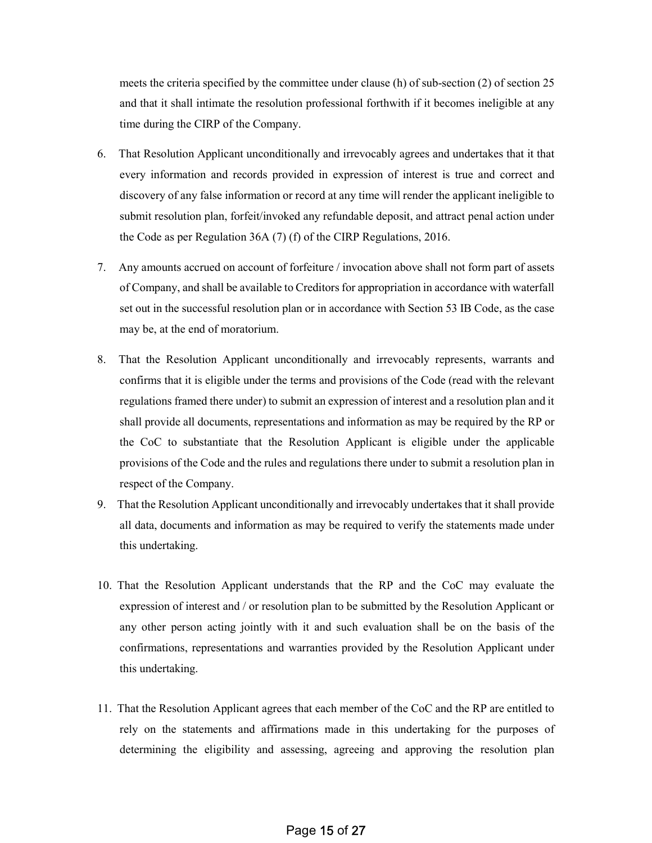meets the criteria specified by the committee under clause (h) of sub-section (2) of section 25 and that it shall intimate the resolution professional forthwith if it becomes ineligible at any time during the CIRP of the Company.

- 6. That Resolution Applicant unconditionally and irrevocably agrees and undertakes that it that every information and records provided in expression of interest is true and correct and discovery of any false information or record at any time will render the applicant ineligible to submit resolution plan, forfeit/invoked any refundable deposit, and attract penal action under the Code as per Regulation 36A (7) (f) of the CIRP Regulations, 2016.
- 7. Any amounts accrued on account of forfeiture / invocation above shall not form part of assets of Company, and shall be available to Creditors for appropriation in accordance with waterfall set out in the successful resolution plan or in accordance with Section 53 IB Code, as the case may be, at the end of moratorium.
- 8. That the Resolution Applicant unconditionally and irrevocably represents, warrants and confirms that it is eligible under the terms and provisions of the Code (read with the relevant regulations framed there under) to submit an expression of interest and a resolution plan and it shall provide all documents, representations and information as may be required by the RP or the CoC to substantiate that the Resolution Applicant is eligible under the applicable provisions of the Code and the rules and regulations there under to submit a resolution plan in respect of the Company.
- 9. That the Resolution Applicant unconditionally and irrevocably undertakes that it shall provide all data, documents and information as may be required to verify the statements made under this undertaking.
- 10. That the Resolution Applicant understands that the RP and the CoC may evaluate the expression of interest and / or resolution plan to be submitted by the Resolution Applicant or any other person acting jointly with it and such evaluation shall be on the basis of the confirmations, representations and warranties provided by the Resolution Applicant under this undertaking.
- 11. That the Resolution Applicant agrees that each member of the CoC and the RP are entitled to rely on the statements and affirmations made in this undertaking for the purposes of determining the eligibility and assessing, agreeing and approving the resolution plan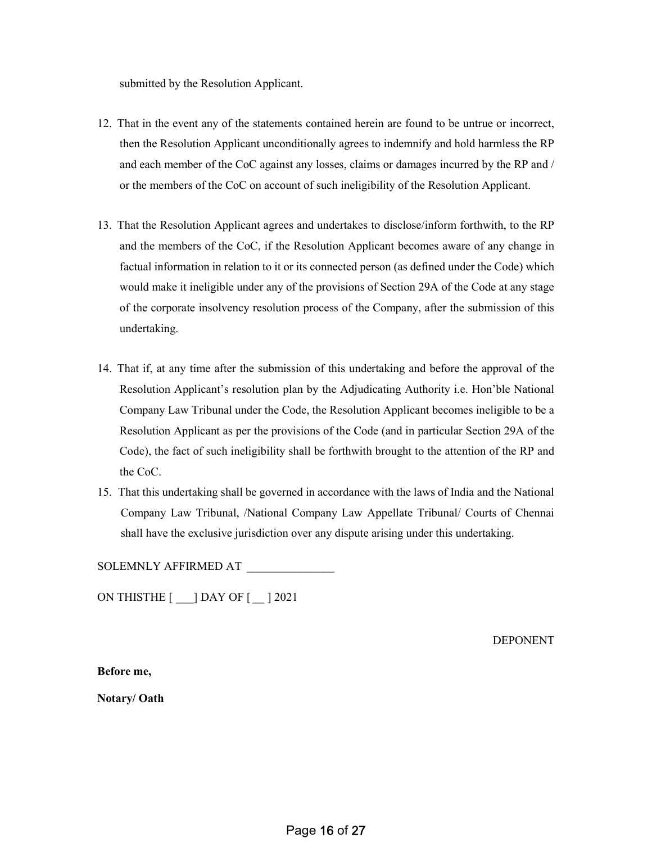submitted by the Resolution Applicant.

- 12. That in the event any of the statements contained herein are found to be untrue or incorrect, then the Resolution Applicant unconditionally agrees to indemnify and hold harmless the RP and each member of the CoC against any losses, claims or damages incurred by the RP and / or the members of the CoC on account of such ineligibility of the Resolution Applicant.
- 13. That the Resolution Applicant agrees and undertakes to disclose/inform forthwith, to the RP and the members of the CoC, if the Resolution Applicant becomes aware of any change in factual information in relation to it or its connected person (as defined under the Code) which would make it ineligible under any of the provisions of Section 29A of the Code at any stage of the corporate insolvency resolution process of the Company, after the submission of this undertaking.
- 14. That if, at any time after the submission of this undertaking and before the approval of the Resolution Applicant's resolution plan by the Adjudicating Authority i.e. Hon'ble National Company Law Tribunal under the Code, the Resolution Applicant becomes ineligible to be a Resolution Applicant as per the provisions of the Code (and in particular Section 29A of the Code), the fact of such ineligibility shall be forthwith brought to the attention of the RP and the CoC.
- 15. That this undertaking shall be governed in accordance with the laws of India and the National Company Law Tribunal, /National Company Law Appellate Tribunal/ Courts of Chennai shall have the exclusive jurisdiction over any dispute arising under this undertaking.

SOLEMNLY AFFIRMED AT \_\_\_\_\_\_\_\_\_\_\_\_\_\_\_

ON THISTHE [ \_\_\_] DAY OF [ \_\_ ] 2021

DEPONENT

Before me,

Notary/ Oath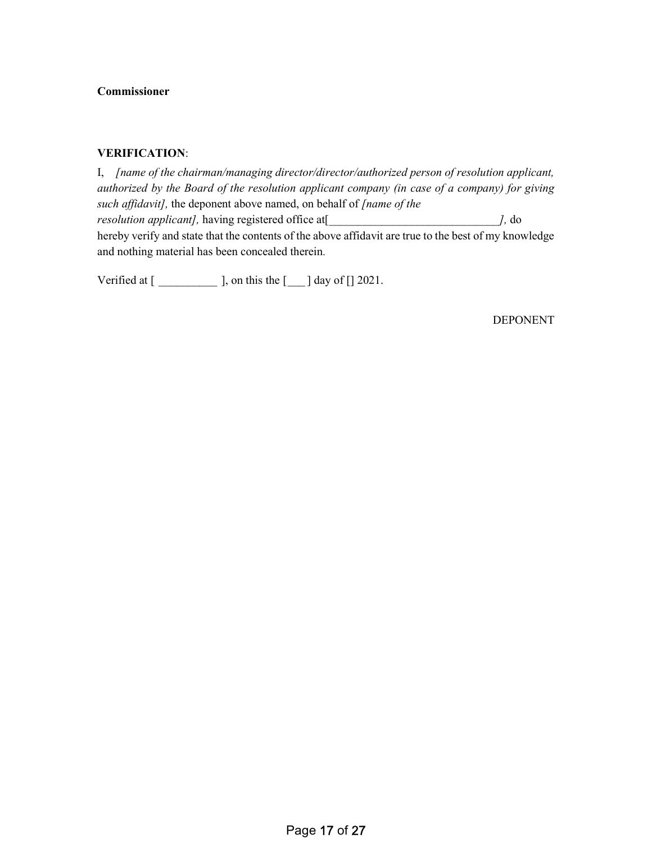### Commissioner

### VERIFICATION:

I, [name of the chairman/managing director/director/authorized person of resolution applicant, authorized by the Board of the resolution applicant company (in case of a company) for giving such affidavit], the deponent above named, on behalf of [name of the resolution applicant], having registered office at [ \_\_\_\_\_\_\_\_\_\_\_\_\_\_\_\_\_\_\_\_\_\_\_\_\_\_\_\_ ], do hereby verify and state that the contents of the above affidavit are true to the best of my knowledge and nothing material has been concealed therein.

Verified at  $[\underline{\hspace{1cm}}]$ , on this the  $[\underline{\hspace{1cm}}]$  day of  $[\ ]$  2021.

DEPONENT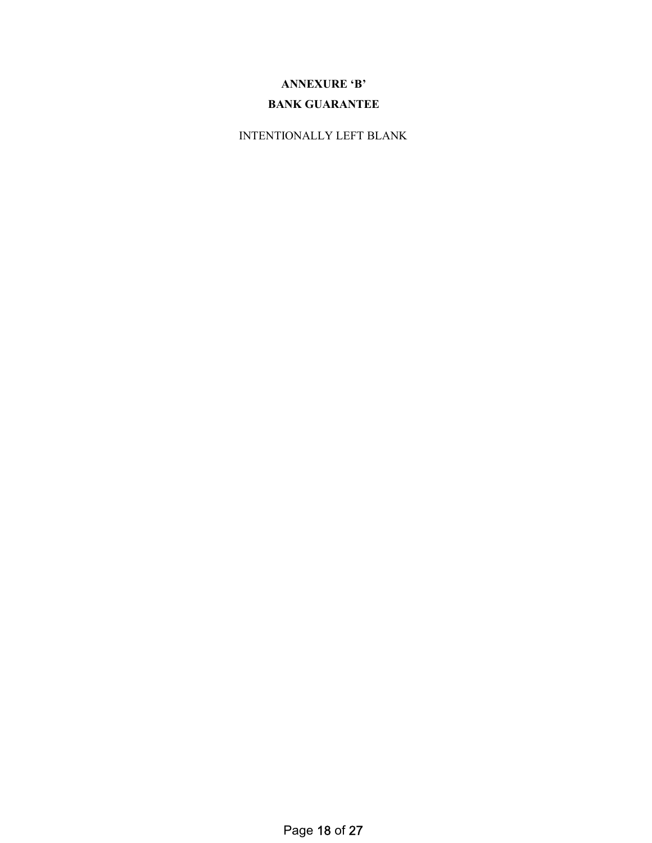# ANNEXURE 'B'

# BANK GUARANTEE

INTENTIONALLY LEFT BLANK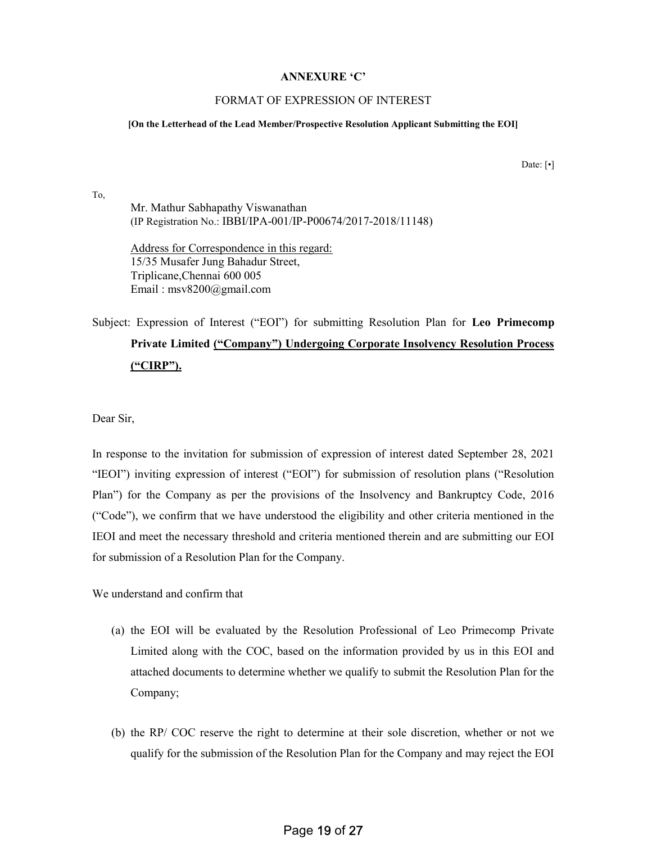#### ANNEXURE 'C'

### FORMAT OF EXPRESSION OF INTEREST

#### [On the Letterhead of the Lead Member/Prospective Resolution Applicant Submitting the EOI]

Date: [ $\cdot$ ]

Mr. Mathur Sabhapathy Viswanathan (IP Registration No.: IBBI/IPA-001/IP-P00674/2017-2018/11148)

Address for Correspondence in this regard: 15/35 Musafer Jung Bahadur Street, Triplicane,Chennai 600 005 Email : msv8200@gmail.com

# Subject: Expression of Interest ("EOI") for submitting Resolution Plan for Leo Primecomp Private Limited ("Company") Undergoing Corporate Insolvency Resolution Process ("CIRP").

Dear Sir,

To,

In response to the invitation for submission of expression of interest dated September 28, 2021 "IEOI") inviting expression of interest ("EOI") for submission of resolution plans ("Resolution Plan") for the Company as per the provisions of the Insolvency and Bankruptcy Code, 2016 ("Code"), we confirm that we have understood the eligibility and other criteria mentioned in the IEOI and meet the necessary threshold and criteria mentioned therein and are submitting our EOI for submission of a Resolution Plan for the Company.

We understand and confirm that

- (a) the EOI will be evaluated by the Resolution Professional of Leo Primecomp Private Limited along with the COC, based on the information provided by us in this EOI and attached documents to determine whether we qualify to submit the Resolution Plan for the Company;
- (b) the RP/ COC reserve the right to determine at their sole discretion, whether or not we qualify for the submission of the Resolution Plan for the Company and may reject the EOI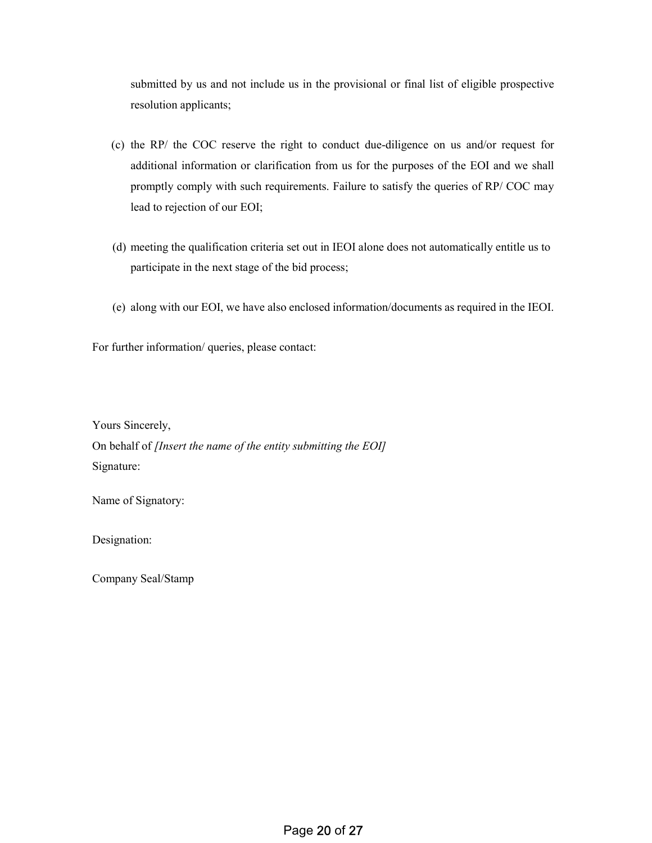submitted by us and not include us in the provisional or final list of eligible prospective resolution applicants;

- (c) the RP/ the COC reserve the right to conduct due-diligence on us and/or request for additional information or clarification from us for the purposes of the EOI and we shall promptly comply with such requirements. Failure to satisfy the queries of RP/ COC may lead to rejection of our EOI;
- (d) meeting the qualification criteria set out in IEOI alone does not automatically entitle us to participate in the next stage of the bid process;
- (e) along with our EOI, we have also enclosed information/documents as required in the IEOI.

For further information/ queries, please contact:

Yours Sincerely,

On behalf of *[Insert the name of the entity submitting the EOI]* Signature:

Name of Signatory:

Designation:

Company Seal/Stamp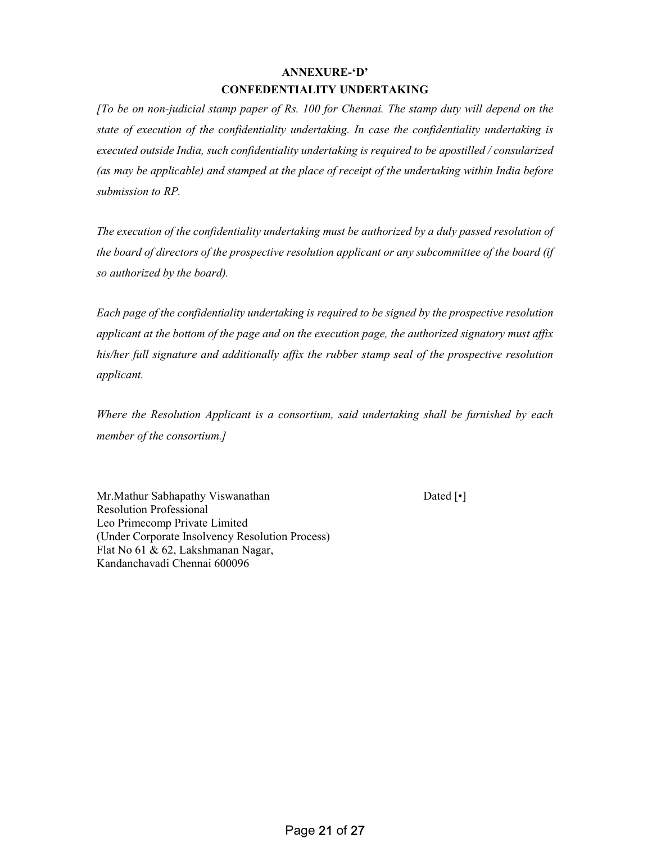## ANNEXURE-'D' CONFEDENTIALITY UNDERTAKING

[To be on non-judicial stamp paper of Rs. 100 for Chennai. The stamp duty will depend on the state of execution of the confidentiality undertaking. In case the confidentiality undertaking is executed outside India, such confidentiality undertaking is required to be apostilled / consularized (as may be applicable) and stamped at the place of receipt of the undertaking within India before submission to RP.

The execution of the confidentiality undertaking must be authorized by a duly passed resolution of the board of directors of the prospective resolution applicant or any subcommittee of the board (if so authorized by the board).

Each page of the confidentiality undertaking is required to be signed by the prospective resolution applicant at the bottom of the page and on the execution page, the authorized signatory must affix his/her full signature and additionally affix the rubber stamp seal of the prospective resolution applicant.

Where the Resolution Applicant is a consortium, said undertaking shall be furnished by each member of the consortium.]

Mr.Mathur Sabhapathy Viswanathan Dated [•] Resolution Professional Leo Primecomp Private Limited (Under Corporate Insolvency Resolution Process) Flat No 61 & 62, Lakshmanan Nagar, Kandanchavadi Chennai 600096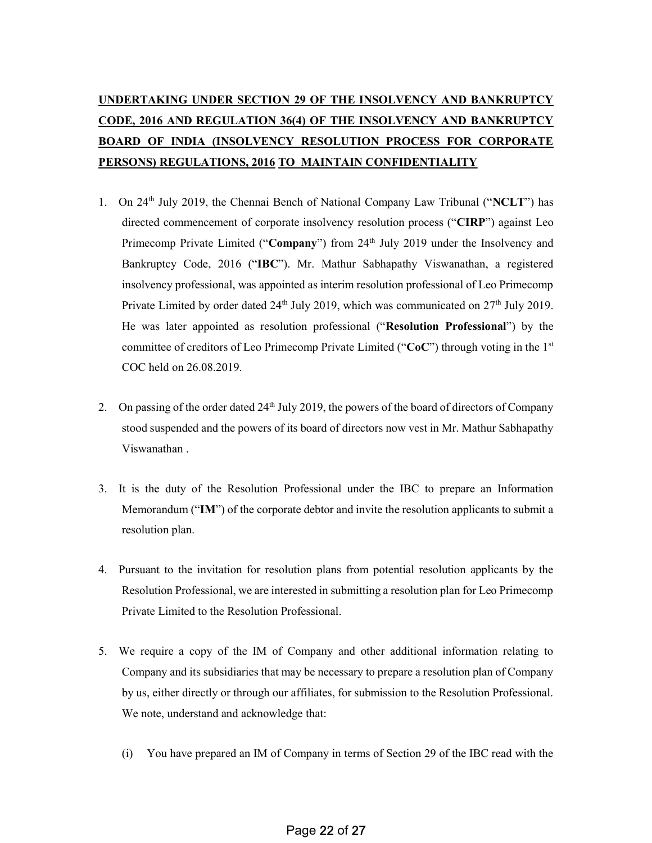# UNDERTAKING UNDER SECTION 29 OF THE INSOLVENCY AND BANKRUPTCY CODE, 2016 AND REGULATION 36(4) OF THE INSOLVENCY AND BANKRUPTCY BOARD OF INDIA (INSOLVENCY RESOLUTION PROCESS FOR CORPORATE PERSONS) REGULATIONS, 2016 TO MAINTAIN CONFIDENTIALITY

- 1. On 24<sup>th</sup> July 2019, the Chennai Bench of National Company Law Tribunal ("NCLT") has directed commencement of corporate insolvency resolution process ("CIRP") against Leo Primecomp Private Limited ("Company") from 24<sup>th</sup> July 2019 under the Insolvency and Bankruptcy Code, 2016 ("IBC"). Mr. Mathur Sabhapathy Viswanathan, a registered insolvency professional, was appointed as interim resolution professional of Leo Primecomp Private Limited by order dated  $24<sup>th</sup>$  July 2019, which was communicated on  $27<sup>th</sup>$  July 2019. He was later appointed as resolution professional ("Resolution Professional") by the committee of creditors of Leo Primecomp Private Limited (" $CoC$ ") through voting in the 1<sup>st</sup> COC held on 26.08.2019.
- 2. On passing of the order dated 24th July 2019, the powers of the board of directors of Company stood suspended and the powers of its board of directors now vest in Mr. Mathur Sabhapathy Viswanathan .
- 3. It is the duty of the Resolution Professional under the IBC to prepare an Information Memorandum ("IM") of the corporate debtor and invite the resolution applicants to submit a resolution plan.
- 4. Pursuant to the invitation for resolution plans from potential resolution applicants by the Resolution Professional, we are interested in submitting a resolution plan for Leo Primecomp Private Limited to the Resolution Professional.
- 5. We require a copy of the IM of Company and other additional information relating to Company and its subsidiaries that may be necessary to prepare a resolution plan of Company by us, either directly or through our affiliates, for submission to the Resolution Professional. We note, understand and acknowledge that:
	- (i) You have prepared an IM of Company in terms of Section 29 of the IBC read with the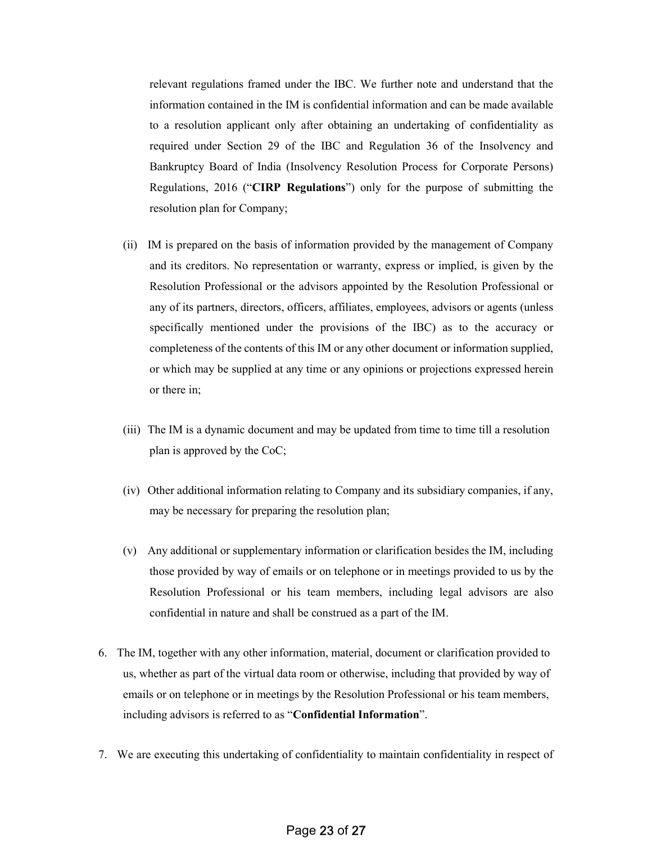relevant regulations framed under the IBC. We further note and understand that the information contained in the IM is confidential information and can be made available to a resolution applicant only after obtaining an undertaking of confidentiality as required under Section 29 of the IBC and Regulation 36 of the Insolvency and Bankruptcy Board of India (Insolvency Resolution Process for Corporate Persons) Regulations, 2016 ("CIRP Regulations") only for the purpose of submitting the resolution plan for Company;

- (ii) IM is prepared on the basis of information provided by the management of Company and its creditors. No representation or warranty, express or implied, is given by the Resolution Professional or the advisors appointed by the Resolution Professional or any of its partners, directors, officers, affiliates, employees, advisors or agents (unless specifically mentioned under the provisions of the IBC) as to the accuracy or completeness of the contents of this IM or any other document or information supplied, or which may be supplied at any time or any opinions or projections expressed herein or there in;
- (iii) The IM is a dynamic document and may be updated from time to time till a resolution plan is approved by the CoC;
- (iv) Other additional information relating to Company and its subsidiary companies, if any, may be necessary for preparing the resolution plan;
- (v) Any additional or supplementary information or clarification besides the IM, including those provided by way of emails or on telephone or in meetings provided to us by the Resolution Professional or his team members, including legal advisors are also confidential in nature and shall be construed as a part of the IM.
- 6. The IM, together with any other information, material, document or clarification provided to us, whether as part of the virtual data room or otherwise, including that provided by way of emails or on telephone or in meetings by the Resolution Professional or his team members, including advisors is referred to as "Confidential Information".
- 7. We are executing this undertaking of confidentiality to maintain confidentiality in respect of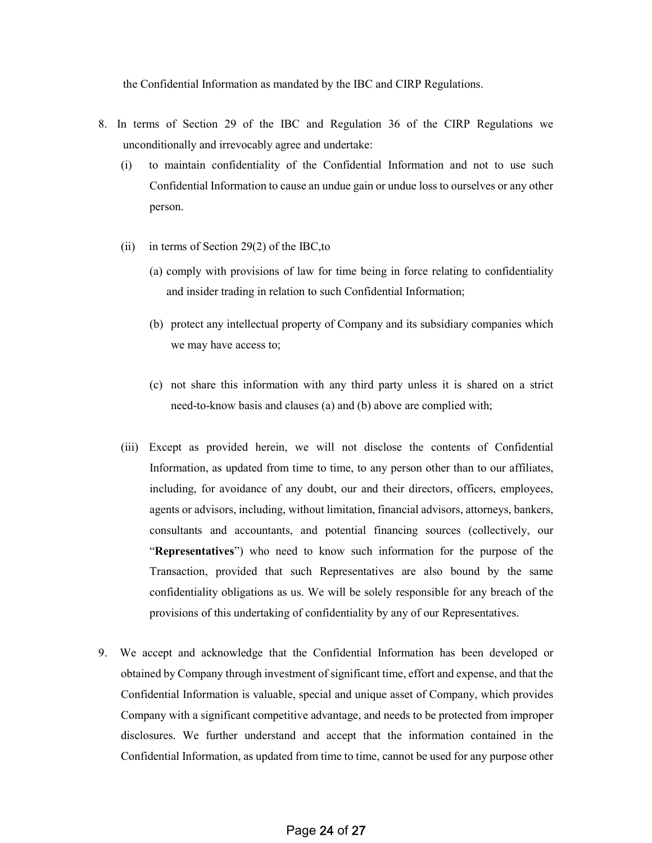the Confidential Information as mandated by the IBC and CIRP Regulations.

- 8. In terms of Section 29 of the IBC and Regulation 36 of the CIRP Regulations we unconditionally and irrevocably agree and undertake:
	- (i) to maintain confidentiality of the Confidential Information and not to use such Confidential Information to cause an undue gain or undue loss to ourselves or any other person.
	- (ii) in terms of Section 29(2) of the IBC,to
		- (a) comply with provisions of law for time being in force relating to confidentiality and insider trading in relation to such Confidential Information;
		- (b) protect any intellectual property of Company and its subsidiary companies which we may have access to;
		- (c) not share this information with any third party unless it is shared on a strict need-to-know basis and clauses (a) and (b) above are complied with;
	- (iii) Except as provided herein, we will not disclose the contents of Confidential Information, as updated from time to time, to any person other than to our affiliates, including, for avoidance of any doubt, our and their directors, officers, employees, agents or advisors, including, without limitation, financial advisors, attorneys, bankers, consultants and accountants, and potential financing sources (collectively, our "Representatives") who need to know such information for the purpose of the Transaction, provided that such Representatives are also bound by the same confidentiality obligations as us. We will be solely responsible for any breach of the provisions of this undertaking of confidentiality by any of our Representatives.
- 9. We accept and acknowledge that the Confidential Information has been developed or obtained by Company through investment of significant time, effort and expense, and that the Confidential Information is valuable, special and unique asset of Company, which provides Company with a significant competitive advantage, and needs to be protected from improper disclosures. We further understand and accept that the information contained in the Confidential Information, as updated from time to time, cannot be used for any purpose other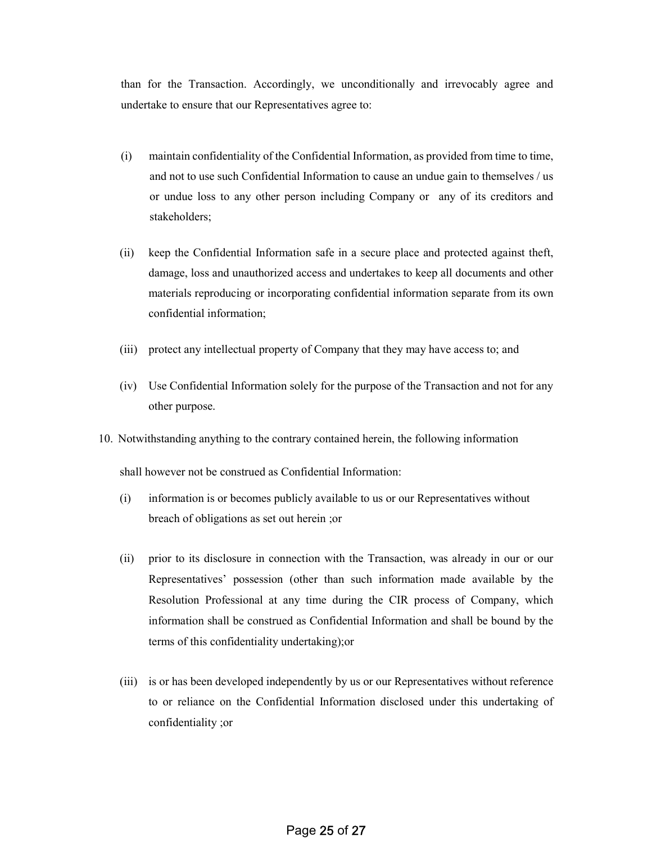than for the Transaction. Accordingly, we unconditionally and irrevocably agree and undertake to ensure that our Representatives agree to:

- (i) maintain confidentiality of the Confidential Information, as provided from time to time, and not to use such Confidential Information to cause an undue gain to themselves / us or undue loss to any other person including Company or any of its creditors and stakeholders;
- (ii) keep the Confidential Information safe in a secure place and protected against theft, damage, loss and unauthorized access and undertakes to keep all documents and other materials reproducing or incorporating confidential information separate from its own confidential information;
- (iii) protect any intellectual property of Company that they may have access to; and
- (iv) Use Confidential Information solely for the purpose of the Transaction and not for any other purpose.
- 10. Notwithstanding anything to the contrary contained herein, the following information

shall however not be construed as Confidential Information:

- (i) information is or becomes publicly available to us or our Representatives without breach of obligations as set out herein ;or
- (ii) prior to its disclosure in connection with the Transaction, was already in our or our Representatives' possession (other than such information made available by the Resolution Professional at any time during the CIR process of Company, which information shall be construed as Confidential Information and shall be bound by the terms of this confidentiality undertaking);or
- (iii) is or has been developed independently by us or our Representatives without reference to or reliance on the Confidential Information disclosed under this undertaking of confidentiality ;or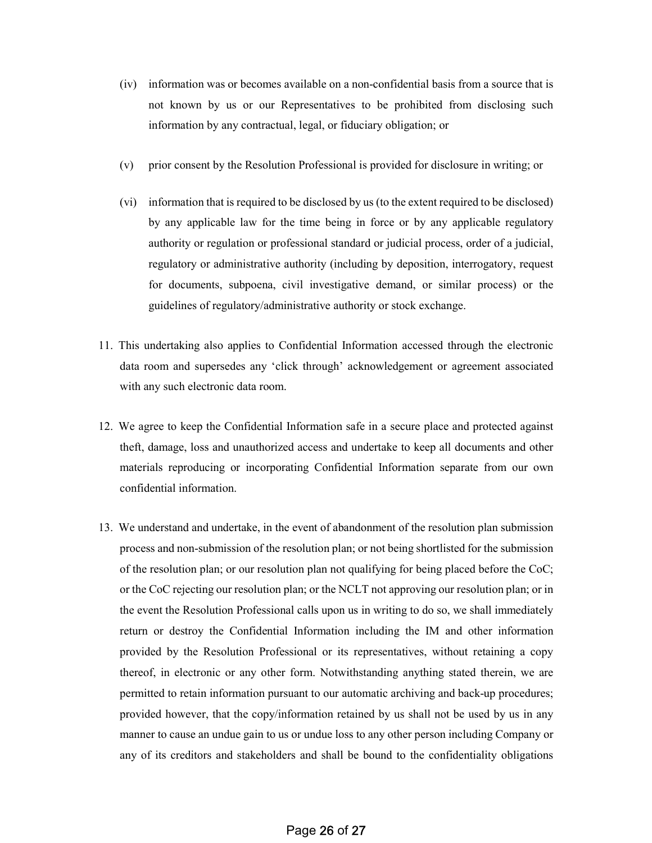- (iv) information was or becomes available on a non-confidential basis from a source that is not known by us or our Representatives to be prohibited from disclosing such information by any contractual, legal, or fiduciary obligation; or
- (v) prior consent by the Resolution Professional is provided for disclosure in writing; or
- (vi) information that is required to be disclosed by us (to the extent required to be disclosed) by any applicable law for the time being in force or by any applicable regulatory authority or regulation or professional standard or judicial process, order of a judicial, regulatory or administrative authority (including by deposition, interrogatory, request for documents, subpoena, civil investigative demand, or similar process) or the guidelines of regulatory/administrative authority or stock exchange.
- 11. This undertaking also applies to Confidential Information accessed through the electronic data room and supersedes any 'click through' acknowledgement or agreement associated with any such electronic data room.
- 12. We agree to keep the Confidential Information safe in a secure place and protected against theft, damage, loss and unauthorized access and undertake to keep all documents and other materials reproducing or incorporating Confidential Information separate from our own confidential information.
- 13. We understand and undertake, in the event of abandonment of the resolution plan submission process and non-submission of the resolution plan; or not being shortlisted for the submission of the resolution plan; or our resolution plan not qualifying for being placed before the CoC; or the CoC rejecting our resolution plan; or the NCLT not approving our resolution plan; or in the event the Resolution Professional calls upon us in writing to do so, we shall immediately return or destroy the Confidential Information including the IM and other information provided by the Resolution Professional or its representatives, without retaining a copy thereof, in electronic or any other form. Notwithstanding anything stated therein, we are permitted to retain information pursuant to our automatic archiving and back-up procedures; provided however, that the copy/information retained by us shall not be used by us in any manner to cause an undue gain to us or undue loss to any other person including Company or any of its creditors and stakeholders and shall be bound to the confidentiality obligations